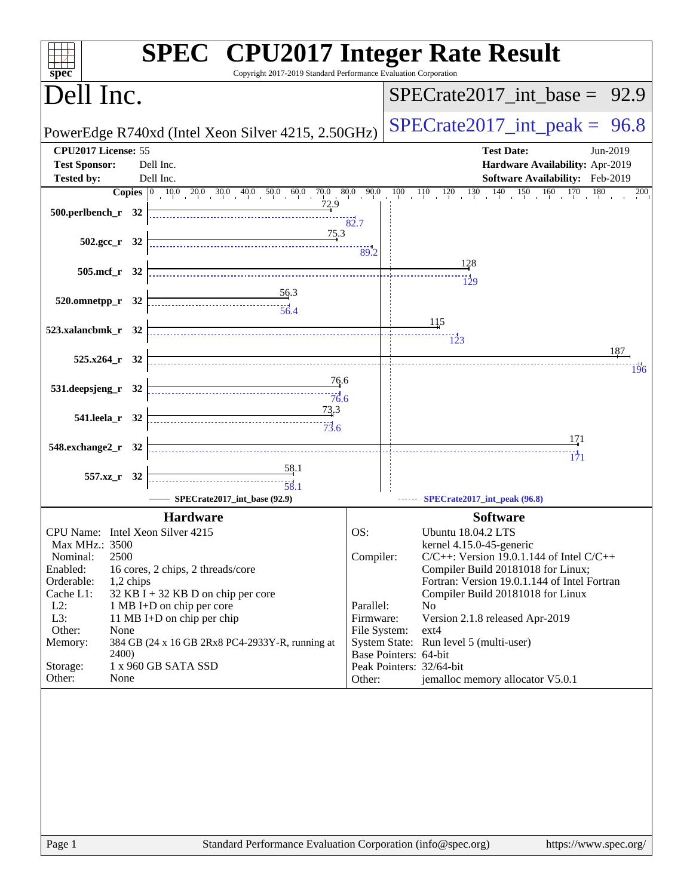| Copyright 2017-2019 Standard Performance Evaluation Corporation<br>spec <sup>®</sup>                                                                                                                                                                                                                                                                                                                                                                                                | <b>SPEC<sup>®</sup></b> CPU2017 Integer Rate Result                               |
|-------------------------------------------------------------------------------------------------------------------------------------------------------------------------------------------------------------------------------------------------------------------------------------------------------------------------------------------------------------------------------------------------------------------------------------------------------------------------------------|-----------------------------------------------------------------------------------|
| Dell Inc.                                                                                                                                                                                                                                                                                                                                                                                                                                                                           | $SPECTate2017\_int\_base = 92.9$                                                  |
| PowerEdge R740xd (Intel Xeon Silver 4215, 2.50GHz)                                                                                                                                                                                                                                                                                                                                                                                                                                  | $SPECTate2017\_int\_peak = 96.8$                                                  |
| CPU2017 License: 55                                                                                                                                                                                                                                                                                                                                                                                                                                                                 | <b>Test Date:</b><br>Jun-2019                                                     |
| <b>Test Sponsor:</b><br>Dell Inc.                                                                                                                                                                                                                                                                                                                                                                                                                                                   | Hardware Availability: Apr-2019                                                   |
| <b>Tested by:</b><br>Dell Inc.                                                                                                                                                                                                                                                                                                                                                                                                                                                      | Software Availability: Feb-2019                                                   |
| <b>Copies</b> $\begin{bmatrix} 0 & 10 & 0 & 20 & 0 & 30 & 0 & 40 & 0 & 50 & 0 & 0 & 0 & 0 & 0 & 90 & 0 \end{bmatrix}$                                                                                                                                                                                                                                                                                                                                                               | $100 \t 110 \t 120 \t 130 \t 140$<br>$150 \t160 \t170$<br>180<br>200              |
| 72.9<br>500.perlbench_r 32                                                                                                                                                                                                                                                                                                                                                                                                                                                          |                                                                                   |
|                                                                                                                                                                                                                                                                                                                                                                                                                                                                                     | 82.7                                                                              |
| 75.3<br>$502.\text{gcc r}$ 32                                                                                                                                                                                                                                                                                                                                                                                                                                                       |                                                                                   |
|                                                                                                                                                                                                                                                                                                                                                                                                                                                                                     | 89.2                                                                              |
| 505.mcf_r 32                                                                                                                                                                                                                                                                                                                                                                                                                                                                        | 128                                                                               |
|                                                                                                                                                                                                                                                                                                                                                                                                                                                                                     | 129                                                                               |
| $\frac{56.3}{5}$<br>520.omnetpp_r 32                                                                                                                                                                                                                                                                                                                                                                                                                                                |                                                                                   |
|                                                                                                                                                                                                                                                                                                                                                                                                                                                                                     |                                                                                   |
| 523.xalancbmk_r 32                                                                                                                                                                                                                                                                                                                                                                                                                                                                  | 115                                                                               |
|                                                                                                                                                                                                                                                                                                                                                                                                                                                                                     | $\frac{1}{2}3$<br>187                                                             |
| $525.x264_r$ 32                                                                                                                                                                                                                                                                                                                                                                                                                                                                     |                                                                                   |
| 76.6                                                                                                                                                                                                                                                                                                                                                                                                                                                                                | 196                                                                               |
| 531.deepsjeng_r 32<br>76.6                                                                                                                                                                                                                                                                                                                                                                                                                                                          |                                                                                   |
| 73.3                                                                                                                                                                                                                                                                                                                                                                                                                                                                                |                                                                                   |
| 541.leela_r 32                                                                                                                                                                                                                                                                                                                                                                                                                                                                      |                                                                                   |
|                                                                                                                                                                                                                                                                                                                                                                                                                                                                                     | 171                                                                               |
| 548.exchange2_r 32                                                                                                                                                                                                                                                                                                                                                                                                                                                                  | 171                                                                               |
| 58.1                                                                                                                                                                                                                                                                                                                                                                                                                                                                                |                                                                                   |
| 557.xz_r 32<br>$\begin{array}{c c c c} \hline \rule{0pt}{2.5ex} & & \multicolumn{2}{c }{\textbf{\textcolor{blue}{\bf 1}}}\\ \hline \rule{0pt}{2.5ex} & & \multicolumn{2}{c }{\textbf{\textcolor{blue}{\bf 2}}}\\ \hline \rule{0pt}{2.5ex} & & \multicolumn{2}{c }{\textbf{\textcolor{blue}{\bf 2}}}\\ \hline \rule{0pt}{2.5ex} & & \multicolumn{2}{c }{\textbf{\textcolor{blue}{\bf 2}}}\\ \hline \rule{0pt}{2.5ex} & & \multicolumn{2}{c }{\textbf{\textcolor{blue}{\bf 2}}}\\ \h$ |                                                                                   |
| SPECrate2017_int_base (92.9)                                                                                                                                                                                                                                                                                                                                                                                                                                                        | SPECrate2017_int_peak (96.8)                                                      |
| <b>Hardware</b>                                                                                                                                                                                                                                                                                                                                                                                                                                                                     | <b>Software</b>                                                                   |
| CPU Name: Intel Xeon Silver 4215                                                                                                                                                                                                                                                                                                                                                                                                                                                    | OS:<br><b>Ubuntu 18.04.2 LTS</b>                                                  |
| Max MHz.: 3500                                                                                                                                                                                                                                                                                                                                                                                                                                                                      | kernel 4.15.0-45-generic                                                          |
| 2500<br>Nominal:                                                                                                                                                                                                                                                                                                                                                                                                                                                                    | Compiler:<br>$C/C++$ : Version 19.0.1.144 of Intel $C/C++$                        |
| Enabled:<br>16 cores, 2 chips, 2 threads/core                                                                                                                                                                                                                                                                                                                                                                                                                                       | Compiler Build 20181018 for Linux;                                                |
| Orderable:<br>1,2 chips<br>Cache L1:<br>32 KB I + 32 KB D on chip per core                                                                                                                                                                                                                                                                                                                                                                                                          | Fortran: Version 19.0.1.144 of Intel Fortran<br>Compiler Build 20181018 for Linux |
| $L2$ :<br>1 MB I+D on chip per core                                                                                                                                                                                                                                                                                                                                                                                                                                                 | Parallel:<br>N <sub>o</sub>                                                       |
| L3:<br>11 MB I+D on chip per chip                                                                                                                                                                                                                                                                                                                                                                                                                                                   | Firmware:<br>Version 2.1.8 released Apr-2019                                      |
| Other:<br>None                                                                                                                                                                                                                                                                                                                                                                                                                                                                      | File System:<br>$ext{4}$                                                          |
| 384 GB (24 x 16 GB 2Rx8 PC4-2933Y-R, running at<br>Memory:<br><b>2400</b> )                                                                                                                                                                                                                                                                                                                                                                                                         | System State: Run level 5 (multi-user)<br>Base Pointers: 64-bit                   |
| 1 x 960 GB SATA SSD<br>Storage:                                                                                                                                                                                                                                                                                                                                                                                                                                                     | Peak Pointers: 32/64-bit                                                          |
| Other:<br>None                                                                                                                                                                                                                                                                                                                                                                                                                                                                      | jemalloc memory allocator V5.0.1<br>Other:                                        |
|                                                                                                                                                                                                                                                                                                                                                                                                                                                                                     |                                                                                   |
|                                                                                                                                                                                                                                                                                                                                                                                                                                                                                     |                                                                                   |
|                                                                                                                                                                                                                                                                                                                                                                                                                                                                                     |                                                                                   |
|                                                                                                                                                                                                                                                                                                                                                                                                                                                                                     |                                                                                   |
|                                                                                                                                                                                                                                                                                                                                                                                                                                                                                     |                                                                                   |
|                                                                                                                                                                                                                                                                                                                                                                                                                                                                                     |                                                                                   |
|                                                                                                                                                                                                                                                                                                                                                                                                                                                                                     |                                                                                   |
|                                                                                                                                                                                                                                                                                                                                                                                                                                                                                     |                                                                                   |
|                                                                                                                                                                                                                                                                                                                                                                                                                                                                                     |                                                                                   |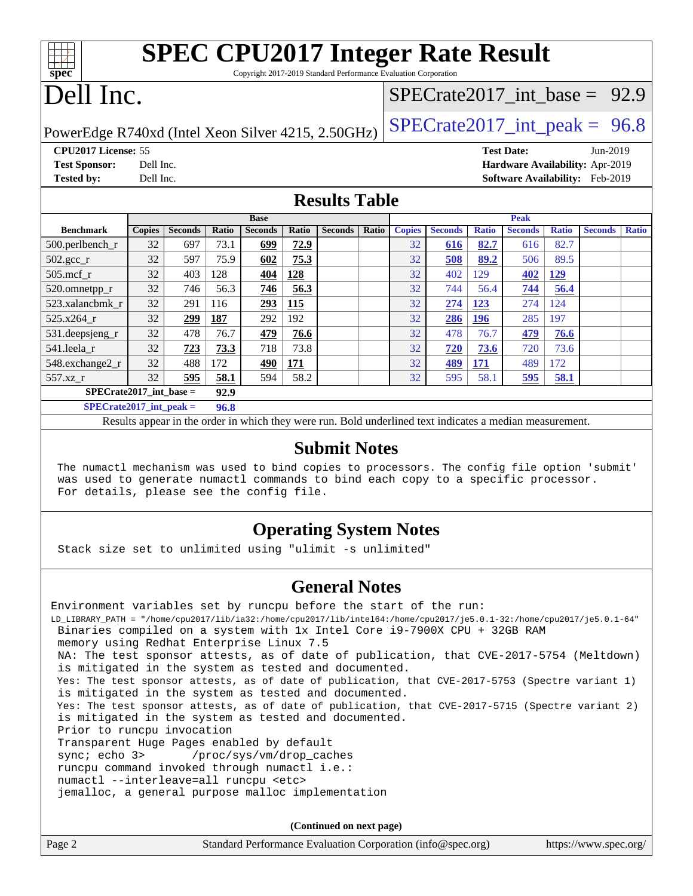| <b>SPEC CPU2017 Integer Rate Result</b><br>spec<br>Copyright 2017-2019 Standard Performance Evaluation Corporation |               |                |       |                |       |                |       |               |                |              |                   |                                  |                                        |              |
|--------------------------------------------------------------------------------------------------------------------|---------------|----------------|-------|----------------|-------|----------------|-------|---------------|----------------|--------------|-------------------|----------------------------------|----------------------------------------|--------------|
| Dell Inc.                                                                                                          |               |                |       |                |       |                |       |               |                |              |                   | $SPECTate2017\_int\_base = 92.9$ |                                        |              |
| $SPECTate2017\_int\_peak = 96.8$<br>PowerEdge R740xd (Intel Xeon Silver 4215, 2.50GHz)                             |               |                |       |                |       |                |       |               |                |              |                   |                                  |                                        |              |
| CPU2017 License: 55                                                                                                |               |                |       |                |       |                |       |               |                |              | <b>Test Date:</b> |                                  | Jun-2019                               |              |
| Hardware Availability: Apr-2019<br><b>Test Sponsor:</b><br>Dell Inc.                                               |               |                |       |                |       |                |       |               |                |              |                   |                                  |                                        |              |
| <b>Tested by:</b>                                                                                                  | Dell Inc.     |                |       |                |       |                |       |               |                |              |                   |                                  | <b>Software Availability:</b> Feb-2019 |              |
| <b>Results Table</b>                                                                                               |               |                |       |                |       |                |       |               |                |              |                   |                                  |                                        |              |
|                                                                                                                    |               |                |       | <b>Base</b>    |       |                |       |               |                |              | <b>Peak</b>       |                                  |                                        |              |
| <b>Benchmark</b>                                                                                                   | <b>Copies</b> | <b>Seconds</b> | Ratio | <b>Seconds</b> | Ratio | <b>Seconds</b> | Ratio | <b>Copies</b> | <b>Seconds</b> | <b>Ratio</b> | <b>Seconds</b>    | <b>Ratio</b>                     | <b>Seconds</b>                         | <b>Ratio</b> |
| 500.perlbench_r                                                                                                    | 32            | 697            | 73.1  | 699            | 72.9  |                |       | 32            | 616            | 82.7         | 616               | 82.7                             |                                        |              |
| $502.\text{sec}$                                                                                                   | 32            | 597            | 75.9  | 602            | 75.3  |                |       | 32            | 508            | 89.2         | 506               | 89.5                             |                                        |              |
| $505$ .mcf r                                                                                                       | 32            | 403            | 128   | 404            | 128   |                |       | 32            | 402            | 129          | 402               | <u>129</u>                       |                                        |              |
| 520.omnetpp_r                                                                                                      | 32            | 746            | 56.3  | 746            | 56.3  |                |       | 32            | 744            | 56.4         | 744               | 56.4                             |                                        |              |
| 523.xalancbmk r                                                                                                    | 32            | 291            | 116   | 293            | 115   |                |       | 32            | 274            | 123          | 274               | 124                              |                                        |              |
| $525.x264_r$                                                                                                       | 32            | <u> 299</u>    | 187   | 292            | 192   |                |       | 32            | 286            | <u>196</u>   | 285               | 197                              |                                        |              |
| 531.deepsjeng_r                                                                                                    | 32            | 478            | 76.7  | 479            | 76.6  |                |       | 32            | 478            | 76.7         | 479               | 76.6                             |                                        |              |
| 541.leela r                                                                                                        | 32            | 723            | 73.3  | 718            | 73.8  |                |       | 32            | 720            | 73.6         | 720               | 73.6                             |                                        |              |
| 548.exchange2 r                                                                                                    | 32            | 488            | 172   | 490            | 171   |                |       | 32            | 489            | 171          | 489               | 172                              |                                        |              |

Results appear in the [order in which they were run.](http://www.spec.org/auto/cpu2017/Docs/result-fields.html#RunOrder) Bold underlined text [indicates a median measurement.](http://www.spec.org/auto/cpu2017/Docs/result-fields.html#Median)

**[SPECrate2017\\_int\\_base =](http://www.spec.org/auto/cpu2017/Docs/result-fields.html#SPECrate2017intbase) 92.9 [SPECrate2017\\_int\\_peak =](http://www.spec.org/auto/cpu2017/Docs/result-fields.html#SPECrate2017intpeak) 96.8**

## **[Submit Notes](http://www.spec.org/auto/cpu2017/Docs/result-fields.html#SubmitNotes)**

[557.xz\\_r](http://www.spec.org/auto/cpu2017/Docs/benchmarks/557.xz_r.html) 32 **[595](http://www.spec.org/auto/cpu2017/Docs/result-fields.html#Median) [58.1](http://www.spec.org/auto/cpu2017/Docs/result-fields.html#Median)** 594 58.2 32 595 58.1 **[595](http://www.spec.org/auto/cpu2017/Docs/result-fields.html#Median) [58.1](http://www.spec.org/auto/cpu2017/Docs/result-fields.html#Median)**

 The numactl mechanism was used to bind copies to processors. The config file option 'submit' was used to generate numactl commands to bind each copy to a specific processor. For details, please see the config file.

## **[Operating System Notes](http://www.spec.org/auto/cpu2017/Docs/result-fields.html#OperatingSystemNotes)**

Stack size set to unlimited using "ulimit -s unlimited"

## **[General Notes](http://www.spec.org/auto/cpu2017/Docs/result-fields.html#GeneralNotes)**

Environment variables set by runcpu before the start of the run: LD\_LIBRARY\_PATH = "/home/cpu2017/lib/ia32:/home/cpu2017/lib/intel64:/home/cpu2017/je5.0.1-32:/home/cpu2017/je5.0.1-64" Binaries compiled on a system with 1x Intel Core i9-7900X CPU + 32GB RAM memory using Redhat Enterprise Linux 7.5 NA: The test sponsor attests, as of date of publication, that CVE-2017-5754 (Meltdown) is mitigated in the system as tested and documented. Yes: The test sponsor attests, as of date of publication, that CVE-2017-5753 (Spectre variant 1) is mitigated in the system as tested and documented. Yes: The test sponsor attests, as of date of publication, that CVE-2017-5715 (Spectre variant 2) is mitigated in the system as tested and documented. Prior to runcpu invocation Transparent Huge Pages enabled by default sync; echo 3> /proc/sys/vm/drop\_caches runcpu command invoked through numactl i.e.: numactl --interleave=all runcpu <etc> jemalloc, a general purpose malloc implementation

**(Continued on next page)**

| Page 2 | Standard Performance Evaluation Corporation (info@spec.org) | https://www.spec.org/ |
|--------|-------------------------------------------------------------|-----------------------|
|        |                                                             |                       |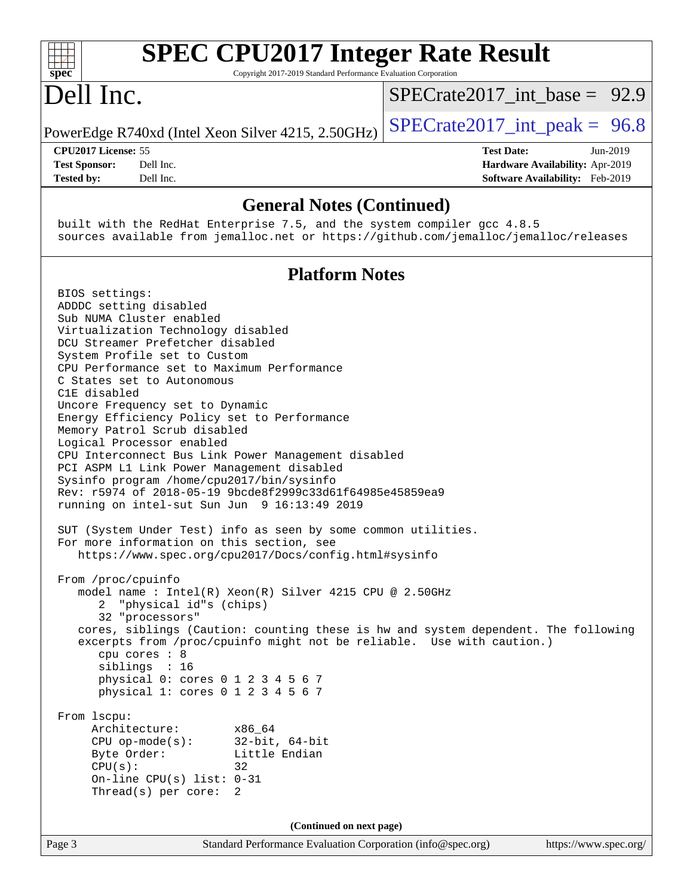| <b>SPEC CPU2017 Integer Rate Result</b><br>Copyright 2017-2019 Standard Performance Evaluation Corporation<br>$s\overline{p}\overline{e}\overline{c}$                                                                                                                                                                                                                                                                                                                                                                                                                                                                                                                                                                                                                                                                                                                                                                                                                                                                                                                                                                                                                                                                                                                                                                                                                                                                                                                     |                                                                                                     |
|---------------------------------------------------------------------------------------------------------------------------------------------------------------------------------------------------------------------------------------------------------------------------------------------------------------------------------------------------------------------------------------------------------------------------------------------------------------------------------------------------------------------------------------------------------------------------------------------------------------------------------------------------------------------------------------------------------------------------------------------------------------------------------------------------------------------------------------------------------------------------------------------------------------------------------------------------------------------------------------------------------------------------------------------------------------------------------------------------------------------------------------------------------------------------------------------------------------------------------------------------------------------------------------------------------------------------------------------------------------------------------------------------------------------------------------------------------------------------|-----------------------------------------------------------------------------------------------------|
| Dell Inc.                                                                                                                                                                                                                                                                                                                                                                                                                                                                                                                                                                                                                                                                                                                                                                                                                                                                                                                                                                                                                                                                                                                                                                                                                                                                                                                                                                                                                                                                 | $SPECTate2017$ int base = 92.9                                                                      |
| PowerEdge R740xd (Intel Xeon Silver 4215, 2.50GHz)                                                                                                                                                                                                                                                                                                                                                                                                                                                                                                                                                                                                                                                                                                                                                                                                                                                                                                                                                                                                                                                                                                                                                                                                                                                                                                                                                                                                                        | $SPECrate2017\_int\_peak = 96.8$                                                                    |
| CPU2017 License: 55<br>Dell Inc.<br><b>Test Sponsor:</b><br>Dell Inc.<br><b>Tested by:</b>                                                                                                                                                                                                                                                                                                                                                                                                                                                                                                                                                                                                                                                                                                                                                                                                                                                                                                                                                                                                                                                                                                                                                                                                                                                                                                                                                                                | <b>Test Date:</b><br>Jun-2019<br>Hardware Availability: Apr-2019<br>Software Availability: Feb-2019 |
| <b>General Notes (Continued)</b>                                                                                                                                                                                                                                                                                                                                                                                                                                                                                                                                                                                                                                                                                                                                                                                                                                                                                                                                                                                                                                                                                                                                                                                                                                                                                                                                                                                                                                          |                                                                                                     |
| built with the RedHat Enterprise 7.5, and the system compiler gcc 4.8.5<br>sources available from jemalloc.net or https://github.com/jemalloc/jemalloc/releases                                                                                                                                                                                                                                                                                                                                                                                                                                                                                                                                                                                                                                                                                                                                                                                                                                                                                                                                                                                                                                                                                                                                                                                                                                                                                                           |                                                                                                     |
| <b>Platform Notes</b>                                                                                                                                                                                                                                                                                                                                                                                                                                                                                                                                                                                                                                                                                                                                                                                                                                                                                                                                                                                                                                                                                                                                                                                                                                                                                                                                                                                                                                                     |                                                                                                     |
| BIOS settings:<br>ADDDC setting disabled<br>Sub NUMA Cluster enabled<br>Virtualization Technology disabled<br>DCU Streamer Prefetcher disabled<br>System Profile set to Custom<br>CPU Performance set to Maximum Performance<br>C States set to Autonomous<br>C1E disabled<br>Uncore Frequency set to Dynamic<br>Energy Efficiency Policy set to Performance<br>Memory Patrol Scrub disabled<br>Logical Processor enabled<br>CPU Interconnect Bus Link Power Management disabled<br>PCI ASPM L1 Link Power Management disabled<br>Sysinfo program /home/cpu2017/bin/sysinfo<br>Rev: r5974 of 2018-05-19 9bcde8f2999c33d61f64985e45859ea9<br>running on intel-sut Sun Jun 9 16:13:49 2019<br>SUT (System Under Test) info as seen by some common utilities.<br>For more information on this section, see<br>https://www.spec.org/cpu2017/Docs/config.html#sysinfo<br>From /proc/cpuinfo<br>model name: $Intel(R)$ Xeon(R) Silver 4215 CPU @ 2.50GHz<br>"physical id"s (chips)<br>2<br>32 "processors"<br>cores, siblings (Caution: counting these is hw and system dependent. The following<br>excerpts from /proc/cpuinfo might not be reliable. Use with caution.)<br>cpu cores : 8<br>siblings : 16<br>physical 0: cores 0 1 2 3 4 5 6 7<br>physical 1: cores 0 1 2 3 4 5 6 7<br>From lscpu:<br>Architecture:<br>x86_64<br>CPU op-mode(s): $32-bit, 64-bit$<br>Byte Order:<br>Little Endian<br>CPU(s):<br>32<br>On-line CPU(s) list: $0-31$<br>Thread(s) per core:<br>2 |                                                                                                     |
| (Continued on next page)                                                                                                                                                                                                                                                                                                                                                                                                                                                                                                                                                                                                                                                                                                                                                                                                                                                                                                                                                                                                                                                                                                                                                                                                                                                                                                                                                                                                                                                  |                                                                                                     |
| Standard Performance Evaluation Corporation (info@spec.org)<br>Page 3                                                                                                                                                                                                                                                                                                                                                                                                                                                                                                                                                                                                                                                                                                                                                                                                                                                                                                                                                                                                                                                                                                                                                                                                                                                                                                                                                                                                     | https://www.spec.org/                                                                               |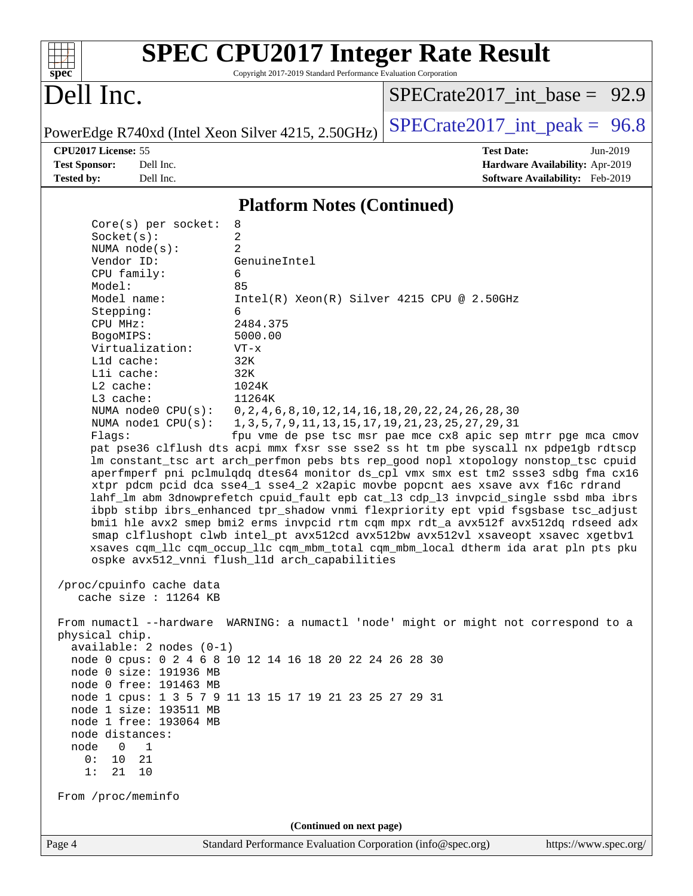| spec <sup>®</sup>                                                                                                                                                                                                                                                                                                                                                                                             | Copyright 2017-2019 Standard Performance Evaluation Corporation                                                        | <b>SPEC CPU2017 Integer Rate Result</b>                                                                                                                                                                                                                                                                                                                                                                                                                                                                                                                                                                                                                                                                                                                                                            |                       |  |  |  |
|---------------------------------------------------------------------------------------------------------------------------------------------------------------------------------------------------------------------------------------------------------------------------------------------------------------------------------------------------------------------------------------------------------------|------------------------------------------------------------------------------------------------------------------------|----------------------------------------------------------------------------------------------------------------------------------------------------------------------------------------------------------------------------------------------------------------------------------------------------------------------------------------------------------------------------------------------------------------------------------------------------------------------------------------------------------------------------------------------------------------------------------------------------------------------------------------------------------------------------------------------------------------------------------------------------------------------------------------------------|-----------------------|--|--|--|
| Dell Inc.                                                                                                                                                                                                                                                                                                                                                                                                     |                                                                                                                        | $SPECTate2017$ int base = 92.9                                                                                                                                                                                                                                                                                                                                                                                                                                                                                                                                                                                                                                                                                                                                                                     |                       |  |  |  |
| PowerEdge R740xd (Intel Xeon Silver 4215, 2.50GHz)                                                                                                                                                                                                                                                                                                                                                            |                                                                                                                        | $SPECTate2017\_int\_peak = 96.8$                                                                                                                                                                                                                                                                                                                                                                                                                                                                                                                                                                                                                                                                                                                                                                   |                       |  |  |  |
| CPU2017 License: 55                                                                                                                                                                                                                                                                                                                                                                                           |                                                                                                                        | <b>Test Date:</b>                                                                                                                                                                                                                                                                                                                                                                                                                                                                                                                                                                                                                                                                                                                                                                                  | Jun-2019              |  |  |  |
| <b>Test Sponsor:</b><br>Dell Inc.                                                                                                                                                                                                                                                                                                                                                                             |                                                                                                                        | Hardware Availability: Apr-2019                                                                                                                                                                                                                                                                                                                                                                                                                                                                                                                                                                                                                                                                                                                                                                    |                       |  |  |  |
| <b>Tested by:</b><br>Dell Inc.                                                                                                                                                                                                                                                                                                                                                                                |                                                                                                                        | Software Availability: Feb-2019                                                                                                                                                                                                                                                                                                                                                                                                                                                                                                                                                                                                                                                                                                                                                                    |                       |  |  |  |
|                                                                                                                                                                                                                                                                                                                                                                                                               | <b>Platform Notes (Continued)</b>                                                                                      |                                                                                                                                                                                                                                                                                                                                                                                                                                                                                                                                                                                                                                                                                                                                                                                                    |                       |  |  |  |
| Core(s) per socket:                                                                                                                                                                                                                                                                                                                                                                                           | 8                                                                                                                      |                                                                                                                                                                                                                                                                                                                                                                                                                                                                                                                                                                                                                                                                                                                                                                                                    |                       |  |  |  |
| Socket(s):                                                                                                                                                                                                                                                                                                                                                                                                    | 2                                                                                                                      |                                                                                                                                                                                                                                                                                                                                                                                                                                                                                                                                                                                                                                                                                                                                                                                                    |                       |  |  |  |
| NUMA $node(s)$ :                                                                                                                                                                                                                                                                                                                                                                                              | 2                                                                                                                      |                                                                                                                                                                                                                                                                                                                                                                                                                                                                                                                                                                                                                                                                                                                                                                                                    |                       |  |  |  |
| Vendor ID:                                                                                                                                                                                                                                                                                                                                                                                                    | GenuineIntel                                                                                                           |                                                                                                                                                                                                                                                                                                                                                                                                                                                                                                                                                                                                                                                                                                                                                                                                    |                       |  |  |  |
| CPU family:                                                                                                                                                                                                                                                                                                                                                                                                   | 6                                                                                                                      |                                                                                                                                                                                                                                                                                                                                                                                                                                                                                                                                                                                                                                                                                                                                                                                                    |                       |  |  |  |
| Model:<br>Model name:                                                                                                                                                                                                                                                                                                                                                                                         | 85<br>Intel(R) Xeon(R) Silver 4215 CPU @ 2.50GHz                                                                       |                                                                                                                                                                                                                                                                                                                                                                                                                                                                                                                                                                                                                                                                                                                                                                                                    |                       |  |  |  |
| Stepping:                                                                                                                                                                                                                                                                                                                                                                                                     | 6                                                                                                                      |                                                                                                                                                                                                                                                                                                                                                                                                                                                                                                                                                                                                                                                                                                                                                                                                    |                       |  |  |  |
| CPU MHz:                                                                                                                                                                                                                                                                                                                                                                                                      | 2484.375                                                                                                               |                                                                                                                                                                                                                                                                                                                                                                                                                                                                                                                                                                                                                                                                                                                                                                                                    |                       |  |  |  |
| BogoMIPS:                                                                                                                                                                                                                                                                                                                                                                                                     | 5000.00                                                                                                                |                                                                                                                                                                                                                                                                                                                                                                                                                                                                                                                                                                                                                                                                                                                                                                                                    |                       |  |  |  |
| Virtualization:                                                                                                                                                                                                                                                                                                                                                                                               | $VT - x$                                                                                                               |                                                                                                                                                                                                                                                                                                                                                                                                                                                                                                                                                                                                                                                                                                                                                                                                    |                       |  |  |  |
| Lld cache:                                                                                                                                                                                                                                                                                                                                                                                                    | 32K                                                                                                                    |                                                                                                                                                                                                                                                                                                                                                                                                                                                                                                                                                                                                                                                                                                                                                                                                    |                       |  |  |  |
| Lli cache:                                                                                                                                                                                                                                                                                                                                                                                                    | 32K                                                                                                                    |                                                                                                                                                                                                                                                                                                                                                                                                                                                                                                                                                                                                                                                                                                                                                                                                    |                       |  |  |  |
| L2 cache:<br>L3 cache:                                                                                                                                                                                                                                                                                                                                                                                        | 1024K<br>11264K                                                                                                        |                                                                                                                                                                                                                                                                                                                                                                                                                                                                                                                                                                                                                                                                                                                                                                                                    |                       |  |  |  |
| NUMA node0 CPU(s):                                                                                                                                                                                                                                                                                                                                                                                            |                                                                                                                        |                                                                                                                                                                                                                                                                                                                                                                                                                                                                                                                                                                                                                                                                                                                                                                                                    |                       |  |  |  |
| NUMA $node1$ CPU $(s)$ :                                                                                                                                                                                                                                                                                                                                                                                      | 0, 2, 4, 6, 8, 10, 12, 14, 16, 18, 20, 22, 24, 26, 28, 30<br>1, 3, 5, 7, 9, 11, 13, 15, 17, 19, 21, 23, 25, 27, 29, 31 |                                                                                                                                                                                                                                                                                                                                                                                                                                                                                                                                                                                                                                                                                                                                                                                                    |                       |  |  |  |
| Flags:                                                                                                                                                                                                                                                                                                                                                                                                        |                                                                                                                        | fpu vme de pse tsc msr pae mce cx8 apic sep mtrr pge mca cmov                                                                                                                                                                                                                                                                                                                                                                                                                                                                                                                                                                                                                                                                                                                                      |                       |  |  |  |
|                                                                                                                                                                                                                                                                                                                                                                                                               | ospke avx512_vnni flush_l1d arch_capabilities                                                                          | pat pse36 clflush dts acpi mmx fxsr sse sse2 ss ht tm pbe syscall nx pdpe1gb rdtscp<br>lm constant_tsc art arch_perfmon pebs bts rep_good nopl xtopology nonstop_tsc cpuid<br>aperfmperf pni pclmulqdq dtes64 monitor ds_cpl vmx smx est tm2 ssse3 sdbg fma cx16<br>xtpr pdcm pcid dca sse4_1 sse4_2 x2apic movbe popcnt aes xsave avx f16c rdrand<br>lahf_lm abm 3dnowprefetch cpuid_fault epb cat_13 cdp_13 invpcid_single ssbd mba ibrs<br>ibpb stibp ibrs_enhanced tpr_shadow vnmi flexpriority ept vpid fsgsbase tsc_adjust<br>bmil hle avx2 smep bmi2 erms invpcid rtm cqm mpx rdt_a avx512f avx512dq rdseed adx<br>smap clflushopt clwb intel_pt avx512cd avx512bw avx512vl xsaveopt xsavec xgetbvl<br>xsaves cqm_llc cqm_occup_llc cqm_mbm_total cqm_mbm_local dtherm ida arat pln pts pku |                       |  |  |  |
| /proc/cpuinfo cache data<br>cache size : 11264 KB                                                                                                                                                                                                                                                                                                                                                             |                                                                                                                        |                                                                                                                                                                                                                                                                                                                                                                                                                                                                                                                                                                                                                                                                                                                                                                                                    |                       |  |  |  |
| physical chip.<br>$available: 2 nodes (0-1)$<br>node 0 cpus: 0 2 4 6 8 10 12 14 16 18 20 22 24 26 28 30<br>node 0 size: 191936 MB<br>node 0 free: 191463 MB<br>node 1 cpus: 1 3 5 7 9 11 13 15 17 19 21 23 25 27 29 31<br>node 1 size: 193511 MB<br>node 1 free: 193064 MB<br>node distances:<br>node<br>$\overline{\phantom{0}}$<br>$\overline{1}$<br>0:<br>10<br>21<br>1:<br>21<br>10<br>From /proc/meminfo |                                                                                                                        | From numactl --hardware WARNING: a numactl 'node' might or might not correspond to a                                                                                                                                                                                                                                                                                                                                                                                                                                                                                                                                                                                                                                                                                                               |                       |  |  |  |
|                                                                                                                                                                                                                                                                                                                                                                                                               | (Continued on next page)                                                                                               |                                                                                                                                                                                                                                                                                                                                                                                                                                                                                                                                                                                                                                                                                                                                                                                                    |                       |  |  |  |
| Page 4                                                                                                                                                                                                                                                                                                                                                                                                        | Standard Performance Evaluation Corporation (info@spec.org)                                                            |                                                                                                                                                                                                                                                                                                                                                                                                                                                                                                                                                                                                                                                                                                                                                                                                    | https://www.spec.org/ |  |  |  |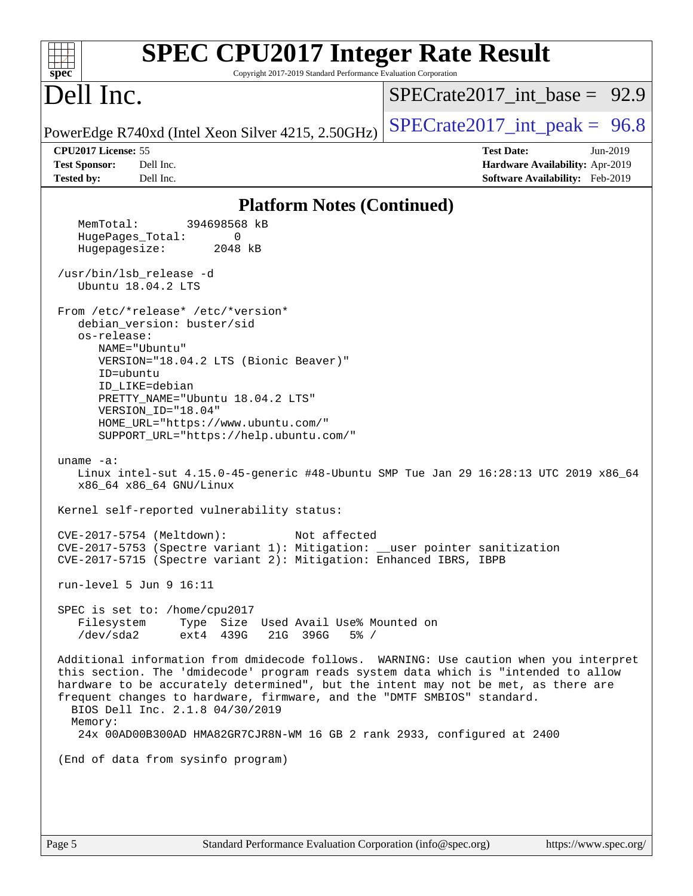| <b>SPEC CPU2017 Integer Rate Result</b><br>Copyright 2017-2019 Standard Performance Evaluation Corporation<br>$spec^*$                                                                                                                                                                                                                                                                                                                                                                                                                                                                                                                                                                                                                                                                                                                                                                                                                                                                                                                                                                                                                                                                                                                                                                                                                                                                                                                                                                                                                                               |                                                                                                     |
|----------------------------------------------------------------------------------------------------------------------------------------------------------------------------------------------------------------------------------------------------------------------------------------------------------------------------------------------------------------------------------------------------------------------------------------------------------------------------------------------------------------------------------------------------------------------------------------------------------------------------------------------------------------------------------------------------------------------------------------------------------------------------------------------------------------------------------------------------------------------------------------------------------------------------------------------------------------------------------------------------------------------------------------------------------------------------------------------------------------------------------------------------------------------------------------------------------------------------------------------------------------------------------------------------------------------------------------------------------------------------------------------------------------------------------------------------------------------------------------------------------------------------------------------------------------------|-----------------------------------------------------------------------------------------------------|
| Dell Inc.                                                                                                                                                                                                                                                                                                                                                                                                                                                                                                                                                                                                                                                                                                                                                                                                                                                                                                                                                                                                                                                                                                                                                                                                                                                                                                                                                                                                                                                                                                                                                            | $SPECTate2017$ _int_base = 92.9                                                                     |
| PowerEdge R740xd (Intel Xeon Silver 4215, 2.50GHz)                                                                                                                                                                                                                                                                                                                                                                                                                                                                                                                                                                                                                                                                                                                                                                                                                                                                                                                                                                                                                                                                                                                                                                                                                                                                                                                                                                                                                                                                                                                   | $SPECTate2017\_int\_peak = 96.8$                                                                    |
| CPU2017 License: 55<br><b>Test Sponsor:</b><br>Dell Inc.<br><b>Tested by:</b><br>Dell Inc.                                                                                                                                                                                                                                                                                                                                                                                                                                                                                                                                                                                                                                                                                                                                                                                                                                                                                                                                                                                                                                                                                                                                                                                                                                                                                                                                                                                                                                                                           | <b>Test Date:</b><br>Jun-2019<br>Hardware Availability: Apr-2019<br>Software Availability: Feb-2019 |
|                                                                                                                                                                                                                                                                                                                                                                                                                                                                                                                                                                                                                                                                                                                                                                                                                                                                                                                                                                                                                                                                                                                                                                                                                                                                                                                                                                                                                                                                                                                                                                      |                                                                                                     |
| <b>Platform Notes (Continued)</b><br>MemTotal:<br>394698568 kB<br>HugePages_Total:<br>0<br>Hugepagesize:<br>2048 kB<br>/usr/bin/lsb_release -d<br>Ubuntu 18.04.2 LTS<br>From /etc/*release* /etc/*version*<br>debian_version: buster/sid<br>os-release:<br>NAME="Ubuntu"<br>VERSION="18.04.2 LTS (Bionic Beaver)"<br>ID=ubuntu<br>ID LIKE=debian<br>PRETTY_NAME="Ubuntu 18.04.2 LTS"<br>VERSION_ID="18.04"<br>HOME_URL="https://www.ubuntu.com/"<br>SUPPORT_URL="https://help.ubuntu.com/"<br>uname $-a$ :<br>Linux intel-sut 4.15.0-45-generic #48-Ubuntu SMP Tue Jan 29 16:28:13 UTC 2019 x86_64<br>x86_64 x86_64 GNU/Linux<br>Kernel self-reported vulnerability status:<br>CVE-2017-5754 (Meltdown):<br>Not affected<br>CVE-2017-5753 (Spectre variant 1): Mitigation: __user pointer sanitization<br>CVE-2017-5715 (Spectre variant 2): Mitigation: Enhanced IBRS, IBPB<br>run-level $5$ Jun $9$ 16:11<br>SPEC is set to: /home/cpu2017<br>Filesystem<br>Type Size Used Avail Use% Mounted on<br>/dev/sda2<br>ext4 439G<br>21G 396G<br>$5\%$ /<br>Additional information from dmidecode follows. WARNING: Use caution when you interpret<br>this section. The 'dmidecode' program reads system data which is "intended to allow<br>hardware to be accurately determined", but the intent may not be met, as there are<br>frequent changes to hardware, firmware, and the "DMTF SMBIOS" standard.<br>BIOS Dell Inc. 2.1.8 04/30/2019<br>Memory:<br>24x 00AD00B300AD HMA82GR7CJR8N-WM 16 GB 2 rank 2933, configured at 2400<br>(End of data from sysinfo program) |                                                                                                     |
|                                                                                                                                                                                                                                                                                                                                                                                                                                                                                                                                                                                                                                                                                                                                                                                                                                                                                                                                                                                                                                                                                                                                                                                                                                                                                                                                                                                                                                                                                                                                                                      |                                                                                                     |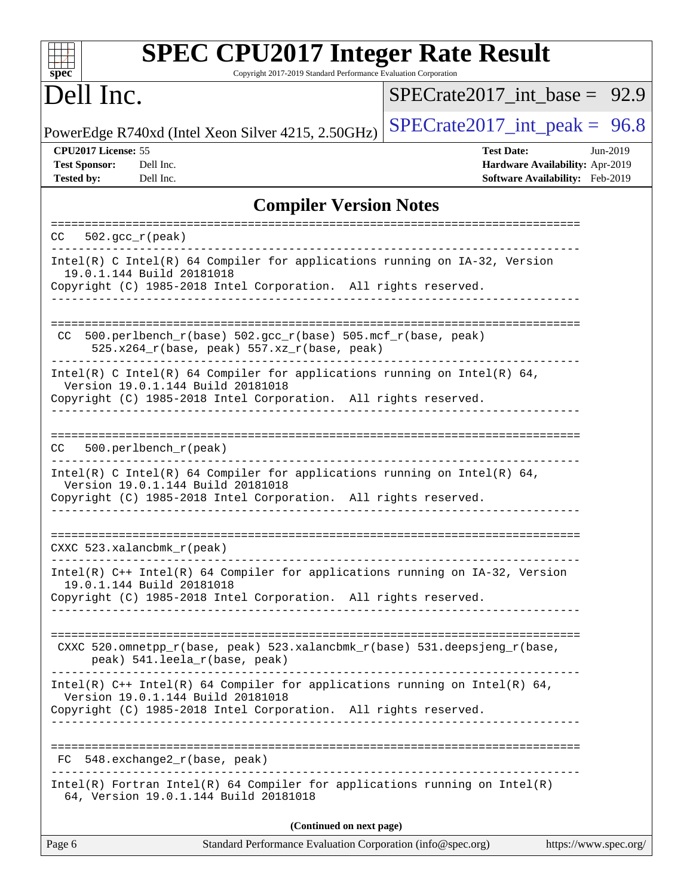| <b>SPEC CPU2017 Integer Rate Result</b><br>Copyright 2017-2019 Standard Performance Evaluation Corporation<br>spec <sup>®</sup>                                                      |                                                                                                            |
|--------------------------------------------------------------------------------------------------------------------------------------------------------------------------------------|------------------------------------------------------------------------------------------------------------|
| Dell Inc.                                                                                                                                                                            | $SPECTate2017$ int base = 92.9                                                                             |
| PowerEdge R740xd (Intel Xeon Silver 4215, 2.50GHz)                                                                                                                                   | $SPECrate2017\_int\_peak = 96.8$                                                                           |
| CPU2017 License: 55<br><b>Test Sponsor:</b><br>Dell Inc.<br><b>Tested by:</b><br>Dell Inc.                                                                                           | <b>Test Date:</b><br>Jun-2019<br><b>Hardware Availability: Apr-2019</b><br>Software Availability: Feb-2019 |
| <b>Compiler Version Notes</b>                                                                                                                                                        |                                                                                                            |
| $502.\text{qcc }r(\text{peak})$<br>CC                                                                                                                                                |                                                                                                            |
| Intel(R) C Intel(R) 64 Compiler for applications running on IA-32, Version<br>19.0.1.144 Build 20181018<br>Copyright (C) 1985-2018 Intel Corporation. All rights reserved.           |                                                                                                            |
| 500.perlbench_r(base) 502.gcc_r(base) 505.mcf_r(base, peak)<br>CC.<br>$525.x264_r(base, peak) 557.xz_r(base, peak)$                                                                  | ----------------------------                                                                               |
| Intel(R) C Intel(R) 64 Compiler for applications running on Intel(R) 64,<br>Version 19.0.1.144 Build 20181018<br>Copyright (C) 1985-2018 Intel Corporation. All rights reserved.     |                                                                                                            |
| 500.perlbench_r(peak)<br>CC.                                                                                                                                                         |                                                                                                            |
| Intel(R) C Intel(R) 64 Compiler for applications running on Intel(R) 64,<br>Version 19.0.1.144 Build 20181018<br>Copyright (C) 1985-2018 Intel Corporation. All rights reserved.     |                                                                                                            |
| $CXXC$ 523.xalancbmk $r$ (peak)                                                                                                                                                      |                                                                                                            |
| Intel(R) C++ Intel(R) 64 Compiler for applications running on IA-32, Version<br>19.0.1.144 Build 20181018<br>Copyright (C) 1985-2018 Intel Corporation. All rights reserved.         |                                                                                                            |
| CXXC 520.omnetpp_r(base, peak) 523.xalancbmk_r(base) 531.deepsjeng_r(base,<br>peak) 541.leela_r(base, peak)                                                                          |                                                                                                            |
| Intel(R) $C++$ Intel(R) 64 Compiler for applications running on Intel(R) 64,<br>Version 19.0.1.144 Build 20181018<br>Copyright (C) 1985-2018 Intel Corporation. All rights reserved. |                                                                                                            |
| FC 548.exchange2_r(base, peak)                                                                                                                                                       |                                                                                                            |
| $Intel(R)$ Fortran Intel(R) 64 Compiler for applications running on Intel(R)<br>64, Version 19.0.1.144 Build 20181018                                                                |                                                                                                            |
| (Continued on next page)                                                                                                                                                             |                                                                                                            |
| Page 6<br>Standard Performance Evaluation Corporation (info@spec.org)                                                                                                                | https://www.spec.org/                                                                                      |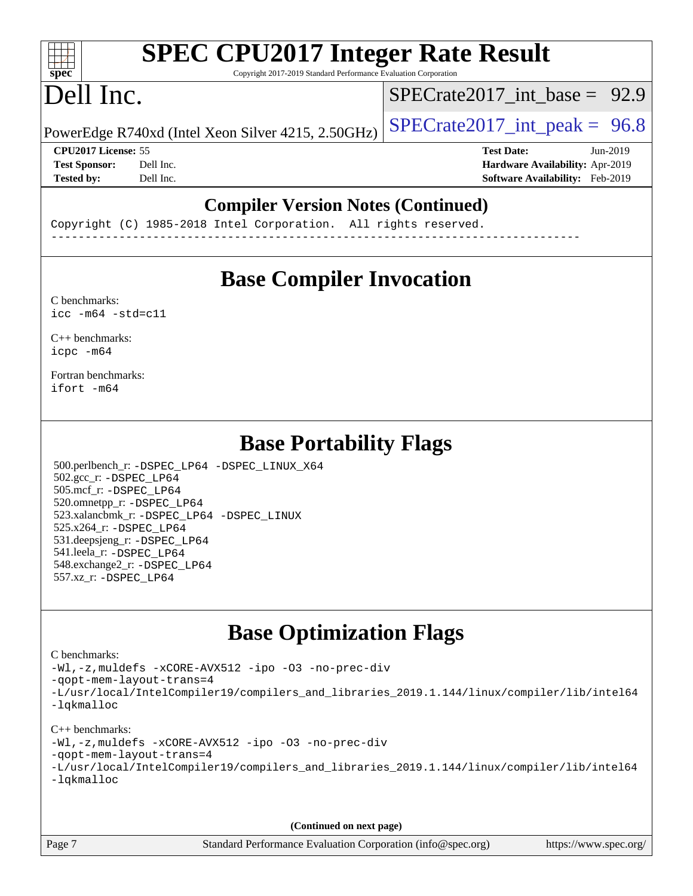# **[SPEC CPU2017 Integer Rate Result](http://www.spec.org/auto/cpu2017/Docs/result-fields.html#SPECCPU2017IntegerRateResult)**

Copyright 2017-2019 Standard Performance Evaluation Corporation

# Dell Inc.

**[spec](http://www.spec.org/)**

 $+\ +$ 

SPECrate2017 int\_base =  $92.9$ 

PowerEdge R740xd (Intel Xeon Silver 4215, 2.50GHz)  $\left|$  [SPECrate2017\\_int\\_peak =](http://www.spec.org/auto/cpu2017/Docs/result-fields.html#SPECrate2017intpeak) 96.8

**[CPU2017 License:](http://www.spec.org/auto/cpu2017/Docs/result-fields.html#CPU2017License)** 55 **[Test Date:](http://www.spec.org/auto/cpu2017/Docs/result-fields.html#TestDate)** Jun-2019 **[Test Sponsor:](http://www.spec.org/auto/cpu2017/Docs/result-fields.html#TestSponsor)** Dell Inc. **[Hardware Availability:](http://www.spec.org/auto/cpu2017/Docs/result-fields.html#HardwareAvailability)** Apr-2019 **[Tested by:](http://www.spec.org/auto/cpu2017/Docs/result-fields.html#Testedby)** Dell Inc. **[Software Availability:](http://www.spec.org/auto/cpu2017/Docs/result-fields.html#SoftwareAvailability)** Feb-2019

## **[Compiler Version Notes \(Continued\)](http://www.spec.org/auto/cpu2017/Docs/result-fields.html#CompilerVersionNotes)**

Copyright (C) 1985-2018 Intel Corporation. All rights reserved. ------------------------------------------------------------------------------

## **[Base Compiler Invocation](http://www.spec.org/auto/cpu2017/Docs/result-fields.html#BaseCompilerInvocation)**

[C benchmarks](http://www.spec.org/auto/cpu2017/Docs/result-fields.html#Cbenchmarks):  $\text{icc}$  -m64 -std=c11

[C++ benchmarks:](http://www.spec.org/auto/cpu2017/Docs/result-fields.html#CXXbenchmarks) [icpc -m64](http://www.spec.org/cpu2017/results/res2019q3/cpu2017-20190624-15452.flags.html#user_CXXbase_intel_icpc_64bit_4ecb2543ae3f1412ef961e0650ca070fec7b7afdcd6ed48761b84423119d1bf6bdf5cad15b44d48e7256388bc77273b966e5eb805aefd121eb22e9299b2ec9d9)

[Fortran benchmarks](http://www.spec.org/auto/cpu2017/Docs/result-fields.html#Fortranbenchmarks): [ifort -m64](http://www.spec.org/cpu2017/results/res2019q3/cpu2017-20190624-15452.flags.html#user_FCbase_intel_ifort_64bit_24f2bb282fbaeffd6157abe4f878425411749daecae9a33200eee2bee2fe76f3b89351d69a8130dd5949958ce389cf37ff59a95e7a40d588e8d3a57e0c3fd751)

## **[Base Portability Flags](http://www.spec.org/auto/cpu2017/Docs/result-fields.html#BasePortabilityFlags)**

 500.perlbench\_r: [-DSPEC\\_LP64](http://www.spec.org/cpu2017/results/res2019q3/cpu2017-20190624-15452.flags.html#b500.perlbench_r_basePORTABILITY_DSPEC_LP64) [-DSPEC\\_LINUX\\_X64](http://www.spec.org/cpu2017/results/res2019q3/cpu2017-20190624-15452.flags.html#b500.perlbench_r_baseCPORTABILITY_DSPEC_LINUX_X64) 502.gcc\_r: [-DSPEC\\_LP64](http://www.spec.org/cpu2017/results/res2019q3/cpu2017-20190624-15452.flags.html#suite_basePORTABILITY502_gcc_r_DSPEC_LP64) 505.mcf\_r: [-DSPEC\\_LP64](http://www.spec.org/cpu2017/results/res2019q3/cpu2017-20190624-15452.flags.html#suite_basePORTABILITY505_mcf_r_DSPEC_LP64) 520.omnetpp\_r: [-DSPEC\\_LP64](http://www.spec.org/cpu2017/results/res2019q3/cpu2017-20190624-15452.flags.html#suite_basePORTABILITY520_omnetpp_r_DSPEC_LP64) 523.xalancbmk\_r: [-DSPEC\\_LP64](http://www.spec.org/cpu2017/results/res2019q3/cpu2017-20190624-15452.flags.html#suite_basePORTABILITY523_xalancbmk_r_DSPEC_LP64) [-DSPEC\\_LINUX](http://www.spec.org/cpu2017/results/res2019q3/cpu2017-20190624-15452.flags.html#b523.xalancbmk_r_baseCXXPORTABILITY_DSPEC_LINUX) 525.x264\_r: [-DSPEC\\_LP64](http://www.spec.org/cpu2017/results/res2019q3/cpu2017-20190624-15452.flags.html#suite_basePORTABILITY525_x264_r_DSPEC_LP64) 531.deepsjeng\_r: [-DSPEC\\_LP64](http://www.spec.org/cpu2017/results/res2019q3/cpu2017-20190624-15452.flags.html#suite_basePORTABILITY531_deepsjeng_r_DSPEC_LP64) 541.leela\_r: [-DSPEC\\_LP64](http://www.spec.org/cpu2017/results/res2019q3/cpu2017-20190624-15452.flags.html#suite_basePORTABILITY541_leela_r_DSPEC_LP64) 548.exchange2\_r: [-DSPEC\\_LP64](http://www.spec.org/cpu2017/results/res2019q3/cpu2017-20190624-15452.flags.html#suite_basePORTABILITY548_exchange2_r_DSPEC_LP64) 557.xz\_r: [-DSPEC\\_LP64](http://www.spec.org/cpu2017/results/res2019q3/cpu2017-20190624-15452.flags.html#suite_basePORTABILITY557_xz_r_DSPEC_LP64)

# **[Base Optimization Flags](http://www.spec.org/auto/cpu2017/Docs/result-fields.html#BaseOptimizationFlags)**

#### [C benchmarks](http://www.spec.org/auto/cpu2017/Docs/result-fields.html#Cbenchmarks):

[-Wl,-z,muldefs](http://www.spec.org/cpu2017/results/res2019q3/cpu2017-20190624-15452.flags.html#user_CCbase_link_force_multiple1_b4cbdb97b34bdee9ceefcfe54f4c8ea74255f0b02a4b23e853cdb0e18eb4525ac79b5a88067c842dd0ee6996c24547a27a4b99331201badda8798ef8a743f577) [-xCORE-AVX512](http://www.spec.org/cpu2017/results/res2019q3/cpu2017-20190624-15452.flags.html#user_CCbase_f-xCORE-AVX512) [-ipo](http://www.spec.org/cpu2017/results/res2019q3/cpu2017-20190624-15452.flags.html#user_CCbase_f-ipo) [-O3](http://www.spec.org/cpu2017/results/res2019q3/cpu2017-20190624-15452.flags.html#user_CCbase_f-O3) [-no-prec-div](http://www.spec.org/cpu2017/results/res2019q3/cpu2017-20190624-15452.flags.html#user_CCbase_f-no-prec-div) [-qopt-mem-layout-trans=4](http://www.spec.org/cpu2017/results/res2019q3/cpu2017-20190624-15452.flags.html#user_CCbase_f-qopt-mem-layout-trans_fa39e755916c150a61361b7846f310bcdf6f04e385ef281cadf3647acec3f0ae266d1a1d22d972a7087a248fd4e6ca390a3634700869573d231a252c784941a8) [-L/usr/local/IntelCompiler19/compilers\\_and\\_libraries\\_2019.1.144/linux/compiler/lib/intel64](http://www.spec.org/cpu2017/results/res2019q3/cpu2017-20190624-15452.flags.html#user_CCbase_qkmalloc_link_f25da0aa8cf9bced0533715046f0c2fbfb1a7191e3e496916672e09b4c388a884c4c7e4862cb529343da2264b43416df65c99fd1ddbf5dd13ae6d3130cf47881) [-lqkmalloc](http://www.spec.org/cpu2017/results/res2019q3/cpu2017-20190624-15452.flags.html#user_CCbase_qkmalloc_link_lib_79a818439969f771c6bc311cfd333c00fc099dad35c030f5aab9dda831713d2015205805422f83de8875488a2991c0a156aaa600e1f9138f8fc37004abc96dc5)

### [C++ benchmarks](http://www.spec.org/auto/cpu2017/Docs/result-fields.html#CXXbenchmarks):

[-Wl,-z,muldefs](http://www.spec.org/cpu2017/results/res2019q3/cpu2017-20190624-15452.flags.html#user_CXXbase_link_force_multiple1_b4cbdb97b34bdee9ceefcfe54f4c8ea74255f0b02a4b23e853cdb0e18eb4525ac79b5a88067c842dd0ee6996c24547a27a4b99331201badda8798ef8a743f577) [-xCORE-AVX512](http://www.spec.org/cpu2017/results/res2019q3/cpu2017-20190624-15452.flags.html#user_CXXbase_f-xCORE-AVX512) [-ipo](http://www.spec.org/cpu2017/results/res2019q3/cpu2017-20190624-15452.flags.html#user_CXXbase_f-ipo) [-O3](http://www.spec.org/cpu2017/results/res2019q3/cpu2017-20190624-15452.flags.html#user_CXXbase_f-O3) [-no-prec-div](http://www.spec.org/cpu2017/results/res2019q3/cpu2017-20190624-15452.flags.html#user_CXXbase_f-no-prec-div)

[-qopt-mem-layout-trans=4](http://www.spec.org/cpu2017/results/res2019q3/cpu2017-20190624-15452.flags.html#user_CXXbase_f-qopt-mem-layout-trans_fa39e755916c150a61361b7846f310bcdf6f04e385ef281cadf3647acec3f0ae266d1a1d22d972a7087a248fd4e6ca390a3634700869573d231a252c784941a8)

|            | -L/usr/local/IntelCompiler19/compilers_and_libraries_2019.1.144/linux/compiler/lib/intel64 |  |  |  |
|------------|--------------------------------------------------------------------------------------------|--|--|--|
| -lqkmalloc |                                                                                            |  |  |  |

**(Continued on next page)**

Page 7 Standard Performance Evaluation Corporation [\(info@spec.org\)](mailto:info@spec.org) <https://www.spec.org/>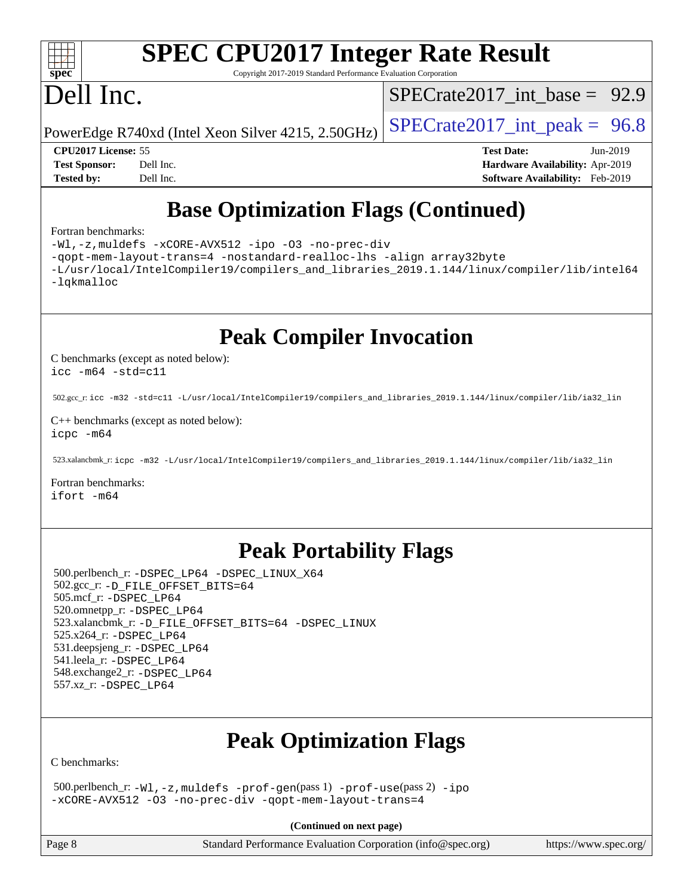

# **[SPEC CPU2017 Integer Rate Result](http://www.spec.org/auto/cpu2017/Docs/result-fields.html#SPECCPU2017IntegerRateResult)**

Copyright 2017-2019 Standard Performance Evaluation Corporation

# Dell Inc.

SPECrate2017 int\_base =  $92.9$ 

PowerEdge R740xd (Intel Xeon Silver 4215, 2.50GHz)  $\left|$  [SPECrate2017\\_int\\_peak =](http://www.spec.org/auto/cpu2017/Docs/result-fields.html#SPECrate2017intpeak) 96.8

**[CPU2017 License:](http://www.spec.org/auto/cpu2017/Docs/result-fields.html#CPU2017License)** 55 **[Test Date:](http://www.spec.org/auto/cpu2017/Docs/result-fields.html#TestDate)** Jun-2019 **[Test Sponsor:](http://www.spec.org/auto/cpu2017/Docs/result-fields.html#TestSponsor)** Dell Inc. **[Hardware Availability:](http://www.spec.org/auto/cpu2017/Docs/result-fields.html#HardwareAvailability)** Apr-2019 **[Tested by:](http://www.spec.org/auto/cpu2017/Docs/result-fields.html#Testedby)** Dell Inc. **[Software Availability:](http://www.spec.org/auto/cpu2017/Docs/result-fields.html#SoftwareAvailability)** Feb-2019

# **[Base Optimization Flags \(Continued\)](http://www.spec.org/auto/cpu2017/Docs/result-fields.html#BaseOptimizationFlags)**

#### [Fortran benchmarks](http://www.spec.org/auto/cpu2017/Docs/result-fields.html#Fortranbenchmarks):

[-Wl,-z,muldefs](http://www.spec.org/cpu2017/results/res2019q3/cpu2017-20190624-15452.flags.html#user_FCbase_link_force_multiple1_b4cbdb97b34bdee9ceefcfe54f4c8ea74255f0b02a4b23e853cdb0e18eb4525ac79b5a88067c842dd0ee6996c24547a27a4b99331201badda8798ef8a743f577) [-xCORE-AVX512](http://www.spec.org/cpu2017/results/res2019q3/cpu2017-20190624-15452.flags.html#user_FCbase_f-xCORE-AVX512) [-ipo](http://www.spec.org/cpu2017/results/res2019q3/cpu2017-20190624-15452.flags.html#user_FCbase_f-ipo) [-O3](http://www.spec.org/cpu2017/results/res2019q3/cpu2017-20190624-15452.flags.html#user_FCbase_f-O3) [-no-prec-div](http://www.spec.org/cpu2017/results/res2019q3/cpu2017-20190624-15452.flags.html#user_FCbase_f-no-prec-div)

[-qopt-mem-layout-trans=4](http://www.spec.org/cpu2017/results/res2019q3/cpu2017-20190624-15452.flags.html#user_FCbase_f-qopt-mem-layout-trans_fa39e755916c150a61361b7846f310bcdf6f04e385ef281cadf3647acec3f0ae266d1a1d22d972a7087a248fd4e6ca390a3634700869573d231a252c784941a8) [-nostandard-realloc-lhs](http://www.spec.org/cpu2017/results/res2019q3/cpu2017-20190624-15452.flags.html#user_FCbase_f_2003_std_realloc_82b4557e90729c0f113870c07e44d33d6f5a304b4f63d4c15d2d0f1fab99f5daaed73bdb9275d9ae411527f28b936061aa8b9c8f2d63842963b95c9dd6426b8a) [-align array32byte](http://www.spec.org/cpu2017/results/res2019q3/cpu2017-20190624-15452.flags.html#user_FCbase_align_array32byte_b982fe038af199962ba9a80c053b8342c548c85b40b8e86eb3cc33dee0d7986a4af373ac2d51c3f7cf710a18d62fdce2948f201cd044323541f22fc0fffc51b6)

[-L/usr/local/IntelCompiler19/compilers\\_and\\_libraries\\_2019.1.144/linux/compiler/lib/intel64](http://www.spec.org/cpu2017/results/res2019q3/cpu2017-20190624-15452.flags.html#user_FCbase_qkmalloc_link_f25da0aa8cf9bced0533715046f0c2fbfb1a7191e3e496916672e09b4c388a884c4c7e4862cb529343da2264b43416df65c99fd1ddbf5dd13ae6d3130cf47881) [-lqkmalloc](http://www.spec.org/cpu2017/results/res2019q3/cpu2017-20190624-15452.flags.html#user_FCbase_qkmalloc_link_lib_79a818439969f771c6bc311cfd333c00fc099dad35c030f5aab9dda831713d2015205805422f83de8875488a2991c0a156aaa600e1f9138f8fc37004abc96dc5)

**[Peak Compiler Invocation](http://www.spec.org/auto/cpu2017/Docs/result-fields.html#PeakCompilerInvocation)**

[C benchmarks \(except as noted below\)](http://www.spec.org/auto/cpu2017/Docs/result-fields.html#Cbenchmarksexceptasnotedbelow): [icc -m64 -std=c11](http://www.spec.org/cpu2017/results/res2019q3/cpu2017-20190624-15452.flags.html#user_CCpeak_intel_icc_64bit_c11_33ee0cdaae7deeeab2a9725423ba97205ce30f63b9926c2519791662299b76a0318f32ddfffdc46587804de3178b4f9328c46fa7c2b0cd779d7a61945c91cd35)

502.gcc\_r: [icc -m32 -std=c11 -L/usr/local/IntelCompiler19/compilers\\_and\\_libraries\\_2019.1.144/linux/compiler/lib/ia32\\_lin](http://www.spec.org/cpu2017/results/res2019q3/cpu2017-20190624-15452.flags.html#user_peakCCLD502_gcc_r_intel_icc_40453ff6bf9521e1d4c2d3e2fb99253a88fa516366d57fe908127cec2d2803e1a519020f7199618d366f5331d17d60a40bdca38a56a807895183dcecb671b0e5)

[C++ benchmarks \(except as noted below\)](http://www.spec.org/auto/cpu2017/Docs/result-fields.html#CXXbenchmarksexceptasnotedbelow): [icpc -m64](http://www.spec.org/cpu2017/results/res2019q3/cpu2017-20190624-15452.flags.html#user_CXXpeak_intel_icpc_64bit_4ecb2543ae3f1412ef961e0650ca070fec7b7afdcd6ed48761b84423119d1bf6bdf5cad15b44d48e7256388bc77273b966e5eb805aefd121eb22e9299b2ec9d9)

523.xalancbmk\_r: [icpc -m32 -L/usr/local/IntelCompiler19/compilers\\_and\\_libraries\\_2019.1.144/linux/compiler/lib/ia32\\_lin](http://www.spec.org/cpu2017/results/res2019q3/cpu2017-20190624-15452.flags.html#user_peakCXXLD523_xalancbmk_r_intel_icpc_da1545662a59c569b62a27824af614167f9a0289efc0155d279b219af3bd2ccb3c10a77eb36bcb264d681e48d9166bbcec9d21ef2c85e5a63a687a8887ddded7)

[Fortran benchmarks](http://www.spec.org/auto/cpu2017/Docs/result-fields.html#Fortranbenchmarks): [ifort -m64](http://www.spec.org/cpu2017/results/res2019q3/cpu2017-20190624-15452.flags.html#user_FCpeak_intel_ifort_64bit_24f2bb282fbaeffd6157abe4f878425411749daecae9a33200eee2bee2fe76f3b89351d69a8130dd5949958ce389cf37ff59a95e7a40d588e8d3a57e0c3fd751)

## **[Peak Portability Flags](http://www.spec.org/auto/cpu2017/Docs/result-fields.html#PeakPortabilityFlags)**

 500.perlbench\_r: [-DSPEC\\_LP64](http://www.spec.org/cpu2017/results/res2019q3/cpu2017-20190624-15452.flags.html#b500.perlbench_r_peakPORTABILITY_DSPEC_LP64) [-DSPEC\\_LINUX\\_X64](http://www.spec.org/cpu2017/results/res2019q3/cpu2017-20190624-15452.flags.html#b500.perlbench_r_peakCPORTABILITY_DSPEC_LINUX_X64) 502.gcc\_r: [-D\\_FILE\\_OFFSET\\_BITS=64](http://www.spec.org/cpu2017/results/res2019q3/cpu2017-20190624-15452.flags.html#user_peakPORTABILITY502_gcc_r_file_offset_bits_64_5ae949a99b284ddf4e95728d47cb0843d81b2eb0e18bdfe74bbf0f61d0b064f4bda2f10ea5eb90e1dcab0e84dbc592acfc5018bc955c18609f94ddb8d550002c) 505.mcf\_r: [-DSPEC\\_LP64](http://www.spec.org/cpu2017/results/res2019q3/cpu2017-20190624-15452.flags.html#suite_peakPORTABILITY505_mcf_r_DSPEC_LP64) 520.omnetpp\_r: [-DSPEC\\_LP64](http://www.spec.org/cpu2017/results/res2019q3/cpu2017-20190624-15452.flags.html#suite_peakPORTABILITY520_omnetpp_r_DSPEC_LP64) 523.xalancbmk\_r: [-D\\_FILE\\_OFFSET\\_BITS=64](http://www.spec.org/cpu2017/results/res2019q3/cpu2017-20190624-15452.flags.html#user_peakPORTABILITY523_xalancbmk_r_file_offset_bits_64_5ae949a99b284ddf4e95728d47cb0843d81b2eb0e18bdfe74bbf0f61d0b064f4bda2f10ea5eb90e1dcab0e84dbc592acfc5018bc955c18609f94ddb8d550002c) [-DSPEC\\_LINUX](http://www.spec.org/cpu2017/results/res2019q3/cpu2017-20190624-15452.flags.html#b523.xalancbmk_r_peakCXXPORTABILITY_DSPEC_LINUX) 525.x264\_r: [-DSPEC\\_LP64](http://www.spec.org/cpu2017/results/res2019q3/cpu2017-20190624-15452.flags.html#suite_peakPORTABILITY525_x264_r_DSPEC_LP64) 531.deepsjeng\_r: [-DSPEC\\_LP64](http://www.spec.org/cpu2017/results/res2019q3/cpu2017-20190624-15452.flags.html#suite_peakPORTABILITY531_deepsjeng_r_DSPEC_LP64) 541.leela\_r: [-DSPEC\\_LP64](http://www.spec.org/cpu2017/results/res2019q3/cpu2017-20190624-15452.flags.html#suite_peakPORTABILITY541_leela_r_DSPEC_LP64) 548.exchange2\_r: [-DSPEC\\_LP64](http://www.spec.org/cpu2017/results/res2019q3/cpu2017-20190624-15452.flags.html#suite_peakPORTABILITY548_exchange2_r_DSPEC_LP64) 557.xz\_r: [-DSPEC\\_LP64](http://www.spec.org/cpu2017/results/res2019q3/cpu2017-20190624-15452.flags.html#suite_peakPORTABILITY557_xz_r_DSPEC_LP64)

# **[Peak Optimization Flags](http://www.spec.org/auto/cpu2017/Docs/result-fields.html#PeakOptimizationFlags)**

[C benchmarks](http://www.spec.org/auto/cpu2017/Docs/result-fields.html#Cbenchmarks):

 500.perlbench\_r: [-Wl,-z,muldefs](http://www.spec.org/cpu2017/results/res2019q3/cpu2017-20190624-15452.flags.html#user_peakEXTRA_LDFLAGS500_perlbench_r_link_force_multiple1_b4cbdb97b34bdee9ceefcfe54f4c8ea74255f0b02a4b23e853cdb0e18eb4525ac79b5a88067c842dd0ee6996c24547a27a4b99331201badda8798ef8a743f577) [-prof-gen](http://www.spec.org/cpu2017/results/res2019q3/cpu2017-20190624-15452.flags.html#user_peakPASS1_CFLAGSPASS1_LDFLAGS500_perlbench_r_prof_gen_5aa4926d6013ddb2a31985c654b3eb18169fc0c6952a63635c234f711e6e63dd76e94ad52365559451ec499a2cdb89e4dc58ba4c67ef54ca681ffbe1461d6b36)(pass 1) [-prof-use](http://www.spec.org/cpu2017/results/res2019q3/cpu2017-20190624-15452.flags.html#user_peakPASS2_CFLAGSPASS2_LDFLAGS500_perlbench_r_prof_use_1a21ceae95f36a2b53c25747139a6c16ca95bd9def2a207b4f0849963b97e94f5260e30a0c64f4bb623698870e679ca08317ef8150905d41bd88c6f78df73f19)(pass 2) [-ipo](http://www.spec.org/cpu2017/results/res2019q3/cpu2017-20190624-15452.flags.html#user_peakPASS1_COPTIMIZEPASS2_COPTIMIZE500_perlbench_r_f-ipo) [-xCORE-AVX512](http://www.spec.org/cpu2017/results/res2019q3/cpu2017-20190624-15452.flags.html#user_peakPASS2_COPTIMIZE500_perlbench_r_f-xCORE-AVX512) [-O3](http://www.spec.org/cpu2017/results/res2019q3/cpu2017-20190624-15452.flags.html#user_peakPASS1_COPTIMIZEPASS2_COPTIMIZE500_perlbench_r_f-O3) [-no-prec-div](http://www.spec.org/cpu2017/results/res2019q3/cpu2017-20190624-15452.flags.html#user_peakPASS1_COPTIMIZEPASS2_COPTIMIZE500_perlbench_r_f-no-prec-div) [-qopt-mem-layout-trans=4](http://www.spec.org/cpu2017/results/res2019q3/cpu2017-20190624-15452.flags.html#user_peakPASS1_COPTIMIZEPASS2_COPTIMIZE500_perlbench_r_f-qopt-mem-layout-trans_fa39e755916c150a61361b7846f310bcdf6f04e385ef281cadf3647acec3f0ae266d1a1d22d972a7087a248fd4e6ca390a3634700869573d231a252c784941a8)

**(Continued on next page)**

Page 8 Standard Performance Evaluation Corporation [\(info@spec.org\)](mailto:info@spec.org) <https://www.spec.org/>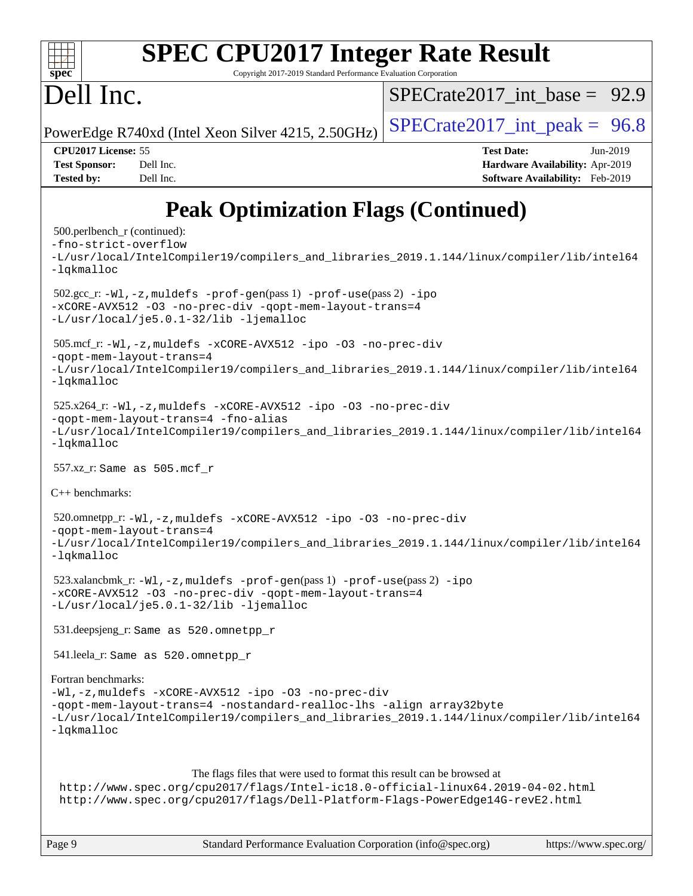

# **[SPEC CPU2017 Integer Rate Result](http://www.spec.org/auto/cpu2017/Docs/result-fields.html#SPECCPU2017IntegerRateResult)**

Copyright 2017-2019 Standard Performance Evaluation Corporation

# Dell Inc.

SPECrate2017 int\_base =  $92.9$ 

PowerEdge R740xd (Intel Xeon Silver 4215, 2.50GHz)  $\left|$  [SPECrate2017\\_int\\_peak =](http://www.spec.org/auto/cpu2017/Docs/result-fields.html#SPECrate2017intpeak) 96.8

**[CPU2017 License:](http://www.spec.org/auto/cpu2017/Docs/result-fields.html#CPU2017License)** 55 **[Test Date:](http://www.spec.org/auto/cpu2017/Docs/result-fields.html#TestDate)** Jun-2019 **[Test Sponsor:](http://www.spec.org/auto/cpu2017/Docs/result-fields.html#TestSponsor)** Dell Inc. **[Hardware Availability:](http://www.spec.org/auto/cpu2017/Docs/result-fields.html#HardwareAvailability)** Apr-2019 **[Tested by:](http://www.spec.org/auto/cpu2017/Docs/result-fields.html#Testedby)** Dell Inc. **[Software Availability:](http://www.spec.org/auto/cpu2017/Docs/result-fields.html#SoftwareAvailability)** Feb-2019

# **[Peak Optimization Flags \(Continued\)](http://www.spec.org/auto/cpu2017/Docs/result-fields.html#PeakOptimizationFlags)**

```
 500.perlbench_r (continued):
-fno-strict-overflow
-L/usr/local/IntelCompiler19/compilers_and_libraries_2019.1.144/linux/compiler/lib/intel64
-lqkmalloc
 502.gcc_r: -Wl,-z,muldefs -prof-gen(pass 1) -prof-use(pass 2) -ipo
-xCORE-AVX512 -O3 -no-prec-div -qopt-mem-layout-trans=4
-L/usr/local/je5.0.1-32/lib -ljemalloc
 505.mcf_r: -Wl,-z,muldefs -xCORE-AVX512 -ipo -O3 -no-prec-div
-qopt-mem-layout-trans=4
-L/usr/local/IntelCompiler19/compilers_and_libraries_2019.1.144/linux/compiler/lib/intel64
-lqkmalloc
 525.x264_r: -Wl,-z,muldefs -xCORE-AVX512 -ipo -O3 -no-prec-div
-qopt-mem-layout-trans=4 -fno-alias
-L/usr/local/IntelCompiler19/compilers_and_libraries_2019.1.144/linux/compiler/lib/intel64
-lqkmalloc
 557.xz_r: Same as 505.mcf_r
C++ benchmarks: 
 520.omnetpp_r: -Wl,-z,muldefs -xCORE-AVX512 -ipo -O3 -no-prec-div
-qopt-mem-layout-trans=4
-L/usr/local/IntelCompiler19/compilers_and_libraries_2019.1.144/linux/compiler/lib/intel64
-lqkmalloc
 523.xalancbmk_r: -Wl,-z,muldefs -prof-gen(pass 1) -prof-use(pass 2) -ipo
-xCORE-AVX512 -O3 -no-prec-div -qopt-mem-layout-trans=4
-L/usr/local/je5.0.1-32/lib -ljemalloc
 531.deepsjeng_r: Same as 520.omnetpp_r
 541.leela_r: Same as 520.omnetpp_r
Fortran benchmarks: 
-Wl,-z,muldefs -xCORE-AVX512 -ipo -O3 -no-prec-div
-qopt-mem-layout-trans=4 -nostandard-realloc-lhs -align array32byte
-L/usr/local/IntelCompiler19/compilers_and_libraries_2019.1.144/linux/compiler/lib/intel64
-lqkmalloc
                      The flags files that were used to format this result can be browsed at
 http://www.spec.org/cpu2017/flags/Intel-ic18.0-official-linux64.2019-04-02.html
 http://www.spec.org/cpu2017/flags/Dell-Platform-Flags-PowerEdge14G-revE2.html
```